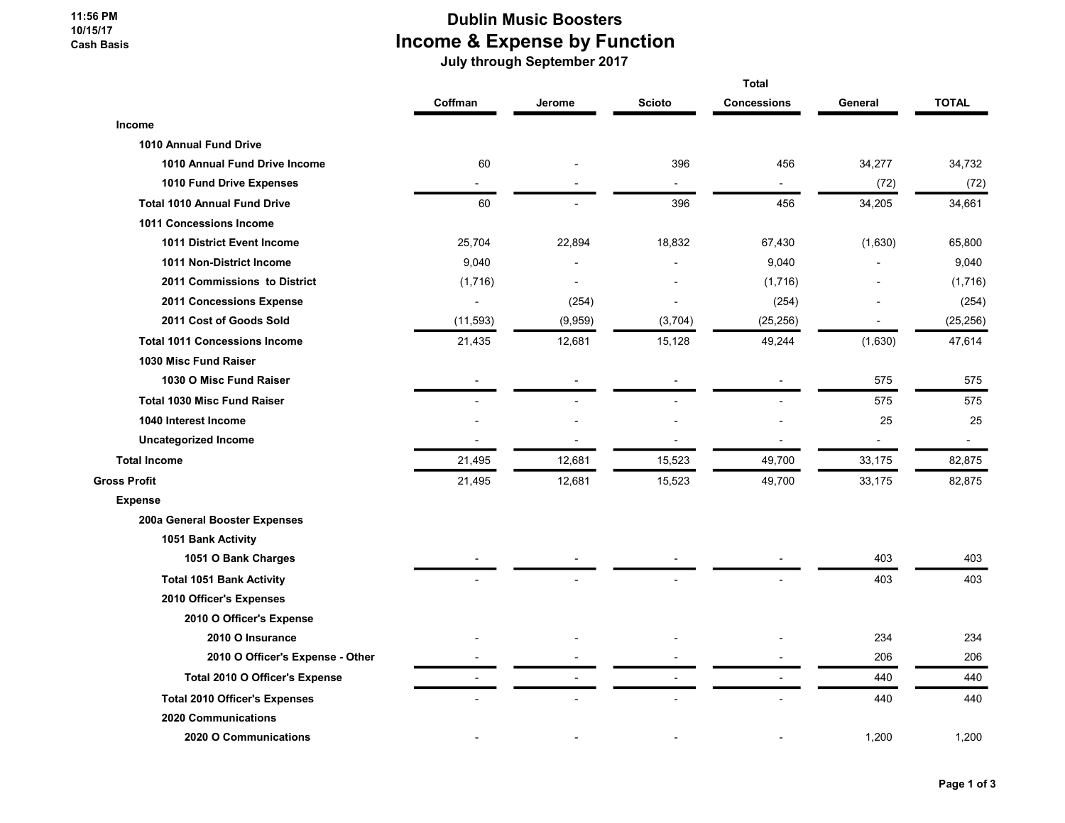### 11:56 PM 10/15/17 Cash Basis

### Dublin Music Boosters Income & Expense by Function

July through September 2017

|                                      | <b>Total</b> |         |                          |                    |         |              |  |  |
|--------------------------------------|--------------|---------|--------------------------|--------------------|---------|--------------|--|--|
|                                      | Coffman      | Jerome  | <b>Scioto</b>            | <b>Concessions</b> | General | <b>TOTAL</b> |  |  |
| Income                               |              |         |                          |                    |         |              |  |  |
| 1010 Annual Fund Drive               |              |         |                          |                    |         |              |  |  |
| 1010 Annual Fund Drive Income        | 60           |         | 396                      | 456                | 34,277  | 34,732       |  |  |
| 1010 Fund Drive Expenses             |              |         | $\overline{\phantom{a}}$ |                    | (72)    | (72)         |  |  |
| <b>Total 1010 Annual Fund Drive</b>  | 60           |         | 396                      | 456                | 34,205  | 34,661       |  |  |
| 1011 Concessions Income              |              |         |                          |                    |         |              |  |  |
| 1011 District Event Income           | 25,704       | 22,894  | 18,832                   | 67,430             | (1,630) | 65,800       |  |  |
| 1011 Non-District Income             | 9,040        |         |                          | 9,040              |         | 9,040        |  |  |
| 2011 Commissions to District         | (1,716)      |         |                          | (1,716)            |         | (1,716)      |  |  |
| 2011 Concessions Expense             |              | (254)   | $\overline{a}$           | (254)              |         | (254)        |  |  |
| 2011 Cost of Goods Sold              | (11, 593)    | (9,959) | (3,704)                  | (25, 256)          | ٠       | (25, 256)    |  |  |
| <b>Total 1011 Concessions Income</b> | 21,435       | 12,681  | 15,128                   | 49,244             | (1,630) | 47,614       |  |  |
| 1030 Misc Fund Raiser                |              |         |                          |                    |         |              |  |  |
| 1030 O Misc Fund Raiser              |              |         |                          |                    | 575     | 575          |  |  |
| <b>Total 1030 Misc Fund Raiser</b>   |              |         |                          |                    | 575     | 575          |  |  |
| 1040 Interest Income                 |              |         |                          |                    | 25      | 25           |  |  |
| <b>Uncategorized Income</b>          |              |         |                          |                    |         |              |  |  |
| <b>Total Income</b>                  | 21,495       | 12,681  | 15,523                   | 49,700             | 33,175  | 82,875       |  |  |
| <b>Gross Profit</b>                  | 21,495       | 12,681  | 15,523                   | 49,700             | 33,175  | 82,875       |  |  |
| <b>Expense</b>                       |              |         |                          |                    |         |              |  |  |
| 200a General Booster Expenses        |              |         |                          |                    |         |              |  |  |
| 1051 Bank Activity                   |              |         |                          |                    |         |              |  |  |
| 1051 O Bank Charges                  |              |         |                          |                    | 403     | 403          |  |  |
| <b>Total 1051 Bank Activity</b>      |              |         |                          |                    | 403     | 403          |  |  |
| 2010 Officer's Expenses              |              |         |                          |                    |         |              |  |  |
| 2010 O Officer's Expense             |              |         |                          |                    |         |              |  |  |
| 2010 O Insurance                     |              |         |                          |                    | 234     | 234          |  |  |
| 2010 O Officer's Expense - Other     |              |         |                          |                    | 206     | 206          |  |  |
| Total 2010 O Officer's Expense       |              |         |                          |                    | 440     | 440          |  |  |
| <b>Total 2010 Officer's Expenses</b> |              |         |                          |                    | 440     | 440          |  |  |
| <b>2020 Communications</b>           |              |         |                          |                    |         |              |  |  |
| 2020 O Communications                |              |         |                          |                    | 1,200   | 1,200        |  |  |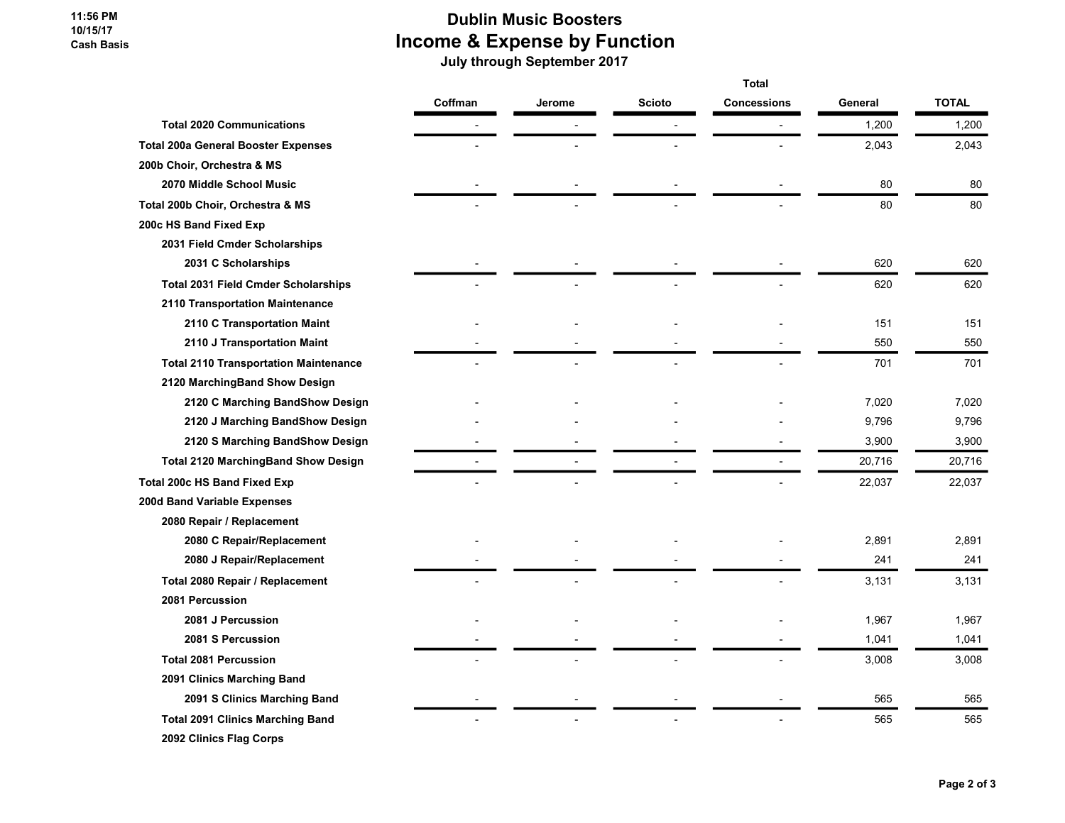### 11:56 PM 10/15/17 Cash Basis

# Dublin Music Boosters Income & Expense by Function

July through September 2017

|                                              | <b>Total</b> |        |               |                    |         |              |  |
|----------------------------------------------|--------------|--------|---------------|--------------------|---------|--------------|--|
|                                              | Coffman      | Jerome | <b>Scioto</b> | <b>Concessions</b> | General | <b>TOTAL</b> |  |
| <b>Total 2020 Communications</b>             |              |        |               |                    | 1,200   | 1,200        |  |
| <b>Total 200a General Booster Expenses</b>   |              |        |               |                    | 2,043   | 2,043        |  |
| 200b Choir, Orchestra & MS                   |              |        |               |                    |         |              |  |
| 2070 Middle School Music                     |              |        |               |                    | 80      | 80           |  |
| Total 200b Choir, Orchestra & MS             |              |        |               |                    | 80      | 80           |  |
| 200c HS Band Fixed Exp                       |              |        |               |                    |         |              |  |
| 2031 Field Cmder Scholarships                |              |        |               |                    |         |              |  |
| 2031 C Scholarships                          |              |        |               |                    | 620     | 620          |  |
| <b>Total 2031 Field Cmder Scholarships</b>   |              |        |               |                    | 620     | 620          |  |
| 2110 Transportation Maintenance              |              |        |               |                    |         |              |  |
| 2110 C Transportation Maint                  |              |        |               |                    | 151     | 151          |  |
| 2110 J Transportation Maint                  |              |        |               |                    | 550     | 550          |  |
| <b>Total 2110 Transportation Maintenance</b> |              |        |               |                    | 701     | 701          |  |
| 2120 MarchingBand Show Design                |              |        |               |                    |         |              |  |
| 2120 C Marching BandShow Design              |              |        |               |                    | 7,020   | 7,020        |  |
| 2120 J Marching BandShow Design              |              |        |               |                    | 9,796   | 9,796        |  |
| 2120 S Marching BandShow Design              |              |        |               |                    | 3,900   | 3,900        |  |
| <b>Total 2120 MarchingBand Show Design</b>   |              |        |               |                    | 20,716  | 20,716       |  |
| <b>Total 200c HS Band Fixed Exp</b>          |              |        |               |                    | 22,037  | 22,037       |  |
| 200d Band Variable Expenses                  |              |        |               |                    |         |              |  |
| 2080 Repair / Replacement                    |              |        |               |                    |         |              |  |
| 2080 C Repair/Replacement                    |              |        |               |                    | 2,891   | 2,891        |  |
| 2080 J Repair/Replacement                    |              |        |               |                    | 241     | 241          |  |
| Total 2080 Repair / Replacement              |              |        |               |                    | 3,131   | 3,131        |  |
| 2081 Percussion                              |              |        |               |                    |         |              |  |
| 2081 J Percussion                            |              |        |               |                    | 1,967   | 1,967        |  |
| 2081 S Percussion                            |              |        |               |                    | 1,041   | 1,041        |  |
| <b>Total 2081 Percussion</b>                 |              |        |               |                    | 3,008   | 3,008        |  |
| 2091 Clinics Marching Band                   |              |        |               |                    |         |              |  |
| 2091 S Clinics Marching Band                 |              |        |               |                    | 565     | 565          |  |
| <b>Total 2091 Clinics Marching Band</b>      |              |        |               |                    | 565     | 565          |  |
| 2092 Clinics Flag Corps                      |              |        |               |                    |         |              |  |